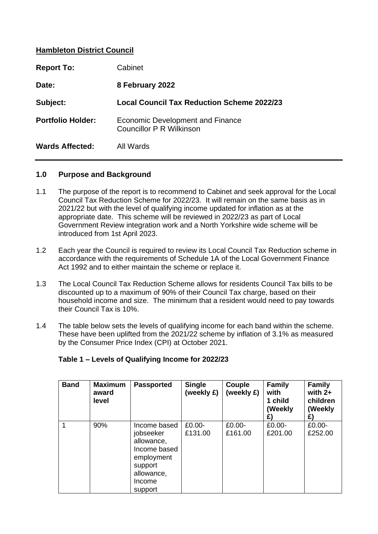# **Hambleton District Council**

| <b>Report To:</b>        | Cabinet                                                      |
|--------------------------|--------------------------------------------------------------|
| Date:                    | 8 February 2022                                              |
| Subject:                 | Local Council Tax Reduction Scheme 2022/23                   |
| <b>Portfolio Holder:</b> | Economic Development and Finance<br>Councillor P R Wilkinson |
| <b>Wards Affected:</b>   | All Wards                                                    |

#### **1.0 Purpose and Background**

- 1.1 The purpose of the report is to recommend to Cabinet and seek approval for the Local Council Tax Reduction Scheme for 2022/23. It will remain on the same basis as in 2021/22 but with the level of qualifying income updated for inflation as at the appropriate date. This scheme will be reviewed in 2022/23 as part of Local Government Review integration work and a North Yorkshire wide scheme will be introduced from 1st April 2023.
- 1.2 Each year the Council is required to review its Local Council Tax Reduction scheme in accordance with the requirements of Schedule 1A of the Local Government Finance Act 1992 and to either maintain the scheme or replace it.
- 1.3 The Local Council Tax Reduction Scheme allows for residents Council Tax bills to be discounted up to a maximum of 90% of their Council Tax charge, based on their household income and size. The minimum that a resident would need to pay towards their Council Tax is 10%.
- 1.4 The table below sets the levels of qualifying income for each band within the scheme. These have been uplifted from the 2021/22 scheme by inflation of 3.1% as measured by the Consumer Price Index (CPI) at October 2021.

| <b>Band</b> | <b>Maximum</b><br>award<br>level | <b>Passported</b>                                                                                                   | <b>Single</b><br>(weekly £) | Couple<br>(weekly £) | <b>Family</b><br>with<br>1 child<br>(Weekly<br>£) | <b>Family</b><br>with $2+$<br>children<br>(Weekly<br>£) |
|-------------|----------------------------------|---------------------------------------------------------------------------------------------------------------------|-----------------------------|----------------------|---------------------------------------------------|---------------------------------------------------------|
|             | 90%                              | Income based<br>jobseeker<br>allowance,<br>Income based<br>employment<br>support<br>allowance,<br>Income<br>support | £0.00-<br>£131.00           | £0.00-<br>£161.00    | $£0.00-$<br>£201.00                               | £0.00-<br>£252.00                                       |

## **Table 1 – Levels of Qualifying Income for 2022/23**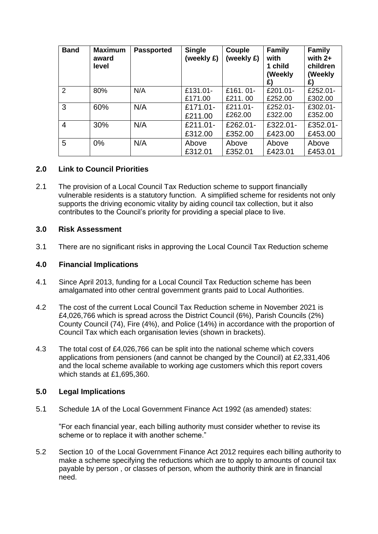| <b>Band</b>    | <b>Maximum</b><br>award<br>level | <b>Passported</b> | <b>Single</b><br>(weekly £) | Couple<br>(weekly £) | <b>Family</b><br>with<br>1 child<br>(Weekly<br>£) | <b>Family</b><br>with $2+$<br>children<br>(Weekly<br>£) |
|----------------|----------------------------------|-------------------|-----------------------------|----------------------|---------------------------------------------------|---------------------------------------------------------|
| 2              | 80%                              | N/A               | £131.01-                    | £161.01-             | £201.01-                                          | £252.01-                                                |
|                |                                  |                   | £171.00                     | £211.00              | £252.00                                           | £302.00                                                 |
| 3              | 60%                              | N/A               | £171.01-                    | £211.01-             | £252.01-                                          | £302.01-                                                |
|                |                                  |                   | £211.00                     | £262.00              | £322.00                                           | £352.00                                                 |
| $\overline{4}$ | 30%                              | N/A               | £211.01-                    | £262.01-             | £322.01-                                          | £352.01-                                                |
|                |                                  |                   | £312.00                     | £352.00              | £423.00                                           | £453.00                                                 |
| 5              | $0\%$                            | N/A               | Above                       | Above                | Above                                             | Above                                                   |
|                |                                  |                   | £312.01                     | £352.01              | £423.01                                           | £453.01                                                 |

# **2.0 Link to Council Priorities**

2.1 The provision of a Local Council Tax Reduction scheme to support financially vulnerable residents is a statutory function. A simplified scheme for residents not only supports the driving economic vitality by aiding council tax collection, but it also contributes to the Council's priority for providing a special place to live.

## **3.0 Risk Assessment**

3.1 There are no significant risks in approving the Local Council Tax Reduction scheme

#### **4.0 Financial Implications**

- 4.1 Since April 2013, funding for a Local Council Tax Reduction scheme has been amalgamated into other central government grants paid to Local Authorities.
- 4.2 The cost of the current Local Council Tax Reduction scheme in November 2021 is £4,026,766 which is spread across the District Council (6%), Parish Councils (2%) County Council (74), Fire (4%), and Police (14%) in accordance with the proportion of Council Tax which each organisation levies (shown in brackets).
- 4.3 The total cost of £4,026,766 can be split into the national scheme which covers applications from pensioners (and cannot be changed by the Council) at £2,331,406 and the local scheme available to working age customers which this report covers which stands at £1,695,360.

## **5.0 Legal Implications**

5.1 Schedule 1A of the Local Government Finance Act 1992 (as amended) states:

"For each financial year, each billing authority must consider whether to revise its scheme or to replace it with another scheme."

5.2 Section 10 of the Local Government Finance Act 2012 requires each billing authority to make a scheme specifying the reductions which are to apply to amounts of council tax payable by person , or classes of person, whom the authority think are in financial need.